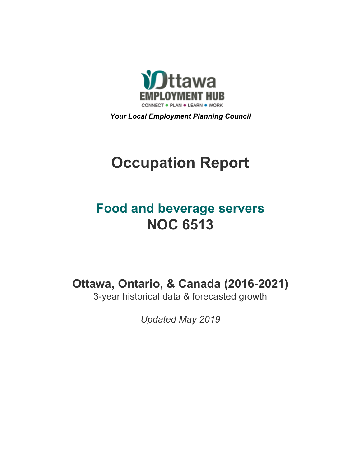

*Your Local Employment Planning Council*

# **Occupation Report**

# **Food and beverage servers NOC 6513**

**Ottawa, Ontario, & Canada (2016-2021)**

3-year historical data & forecasted growth

*Updated May 2019*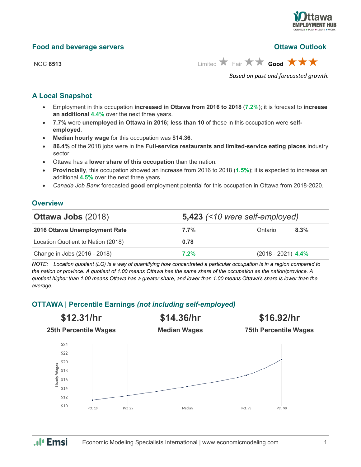

|  |  | <b>Food and beverage servers</b> |  |
|--|--|----------------------------------|--|
|--|--|----------------------------------|--|

#### **Food and beverage servers Ottawa Outlook**

NOC **6513** Limited  $\overrightarrow{A}$  Fair  $\overrightarrow{A}$  **Good** 

*Based on past and forecasted growth.*

### **A Local Snapshot**

- Employment in this occupation **increased in Ottawa from 2016 to 2018** (**7.2%**); it is forecast to **increase an additional 4.4%** over the next three years.
- **7.7%** were **unemployed in Ottawa in 2016; less than 10** of those in this occupation were **selfemployed**.
- **Median hourly wage** for this occupation was **\$14.36**.
- **86.4%** of the 2018 jobs were in the **Full-service restaurants and limited-service eating places** industry sector.
- Ottawa has a **lower share of this occupation** than the nation.
- **Provincially**, this occupation showed an increase from 2016 to 2018 (**1.5%**); it is expected to increase an additional **4.5%** over the next three years.
- *Canada Job Bank* forecasted **good** employment potential for this occupation in Ottawa from 2018-2020.

#### **Overview**

| <b>Ottawa Jobs (2018)</b>          | 5,423 $($ < 10 were self-employed) |                      |         |  |
|------------------------------------|------------------------------------|----------------------|---------|--|
| 2016 Ottawa Unemployment Rate      | 7.7%                               | Ontario              | $8.3\%$ |  |
| Location Quotient to Nation (2018) | 0.78                               |                      |         |  |
| Change in Jobs (2016 - 2018)       | $7.2\%$                            | $(2018 - 2021)$ 4.4% |         |  |

*NOTE: Location quotient (LQ) is a way of quantifying how concentrated a particular occupation is in a region compared to the nation or province. A quotient of 1.00 means Ottawa has the same share of the occupation as the nation/province. A quotient higher than 1.00 means Ottawa has a greater share, and lower than 1.00 means Ottawa's share is lower than the average.*

## **OTTAWA | Percentile Earnings** *(not including self-employed)*



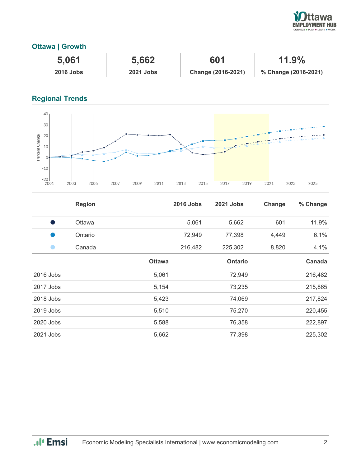

# **Ottawa | Growth**

| 5.061            | 5,662            | 601                | $11.9\%$             |
|------------------|------------------|--------------------|----------------------|
| <b>2016 Jobs</b> | <b>2021 Jobs</b> | Change (2016-2021) | % Change (2016-2021) |

# **Regional Trends**



|             | <b>Region</b> |               | <b>2016 Jobs</b> | <b>2021 Jobs</b> | Change | % Change |
|-------------|---------------|---------------|------------------|------------------|--------|----------|
| s,          | <b>Ottawa</b> |               | 5,061            | 5,662            | 601    | 11.9%    |
|             | Ontario       |               | 72,949           | 77,398           | 4,449  | 6.1%     |
|             | Canada        |               | 216,482          | 225,302          | 8,820  | 4.1%     |
|             |               | <b>Ottawa</b> |                  | <b>Ontario</b>   |        | Canada   |
| $2016$ Jobs |               | 5,061         |                  | 72,949           |        | 216,482  |
| 2017 Jobs   |               | 5,154         |                  | 73,235           |        | 215,865  |
| 2018 Jobs   |               | 5,423         |                  | 74,069           |        | 217,824  |
| 2019 Jobs   |               | 5,510         |                  | 75,270           |        | 220,455  |
| 2020 Jobs   |               | 5,588         |                  | 76,358           |        | 222,897  |
| 2021 Jobs   |               | 5,662         |                  | 77,398           |        | 225,302  |

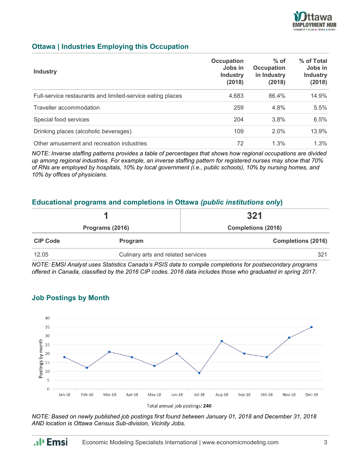

## **Ottawa | Industries Employing this Occupation**

| <b>Industry</b>                                            | Occupation<br>Jobs in<br><b>Industry</b><br>(2018) | $%$ of<br>Occupation<br>in Industry<br>(2018) | % of Total<br>Jobs in<br><b>Industry</b><br>(2018) |
|------------------------------------------------------------|----------------------------------------------------|-----------------------------------------------|----------------------------------------------------|
| Full-service restaurants and limited-service eating places | 4,683                                              | 86.4%                                         | 14.9%                                              |
| Traveller accommodation                                    | 259                                                | 4.8%                                          | 5.5%                                               |
| Special food services                                      | 204                                                | 3.8%                                          | 6.5%                                               |
| Drinking places (alcoholic beverages)                      | 109                                                | 2.0%                                          | 13.9%                                              |
| Other amusement and recreation industries                  | 72                                                 | 1.3%                                          | 1.3%                                               |

*NOTE: Inverse staffing patterns provides a table of percentages that shows how regional occupations are divided up among regional industries. For example, an inverse staffing pattern for registered nurses may show that 70% of RNs are employed by hospitals, 10% by local government (i.e., public schools), 10% by nursing homes, and 10% by offices of physicians.*

#### **Educational programs and completions in Ottawa** *(public institutions only***)**

|                 |                                    | 321                       |  |
|-----------------|------------------------------------|---------------------------|--|
|                 | Programs (2016)                    | <b>Completions (2016)</b> |  |
| <b>CIP Code</b> | <b>Program</b>                     | <b>Completions (2016)</b> |  |
| 12.05           | Culinary arts and related services | 321                       |  |

*NOTE: EMSI Analyst uses Statistics Canada's PSIS data to compile completions for postsecondary programs offered in Canada, classified by the 2016 CIP codes. 2016 data includes those who graduated in spring 2017.*



#### **Job Postings by Month**

.**.**I' Emsi

*NOTE: Based on newly published job postings first found between January 01, 2018 and December 31, 2018 AND location is Ottawa Census Sub-division, Vicinity Jobs.*